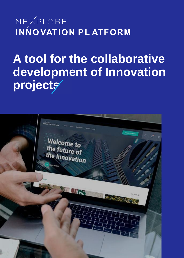NEXPLORE **INNOVATION PLATFORM** 

**A tool for the collaborative development of Innovation**  projects

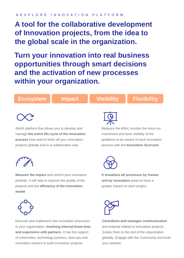#### N E X P L O R E I N N O V A T I O N P L A T F O R M

# **A tool for the collaborative development of Innovation projects, from the idea to the global scale in the organization.**

**Turn your innovation into real business opportunities through smart decisions and the activation of new processes within your organization.**

### **Ecosystem Impact Visibility Flexibility**



SAAS platform that allows you to develop and manage **the entire life-cycle of the innovation process** from start to finish all your Innovation projects globally and in a collaborative way.



**Measure the impact** and control your innovation portfolio. It will help to improve the quality of the projects and the **efficiency of the innovation model**.



Discover and implement new innovation processes in your organization, **involving internal know-how and experience with partners**. It has the support of universities, technology partners, start-ups and innovation centers to build innovative projects.



Measure the effort, monitor the return on investment and have visibility of the problems to be solved of each innovation process with the **Innovation Scorcard.**



**It visualizes all processes by frames and by innovation** areas to have a greater impact on each project.



**Centralizes and manages communication** and material related to innovation projects. Scales them to the rest of the organization globally. Engage with the Community and build your network.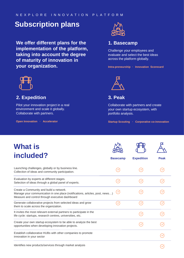### **Subscription plans**

**We offer different plans for the implementation of the platform, taking into account the degree of maturity of innovation in your organization.**



#### **2. Expedition**

Pilot your innovation project in a real environment and scale it globally. Collaborate with partners.

**Open Innovation · Accelerator**



### **1. Basecamp**

Challenge your employees and evaluate and select the best ideas across the platform globally.

**Intra-preneurship · Innovation Scorecard**



**3. Peak**

Collaborate with partners and create your own startup ecosystem, with portfolio analysis.

**Startup Scouting · Corporative co-innovation**

| <b>What is</b><br>included?                                                                                                                                                | <b>Basecamp</b> | <b>Expedition</b> | <b>Peak</b> |
|----------------------------------------------------------------------------------------------------------------------------------------------------------------------------|-----------------|-------------------|-------------|
| Launching challenges, globally or by business line.<br>Collection of ideas and community participation.                                                                    |                 |                   |             |
| Evaluation by experts at different stages.<br>Selection of ideas through a global panel of experts.                                                                        |                 |                   |             |
| Create a Community and build a network.<br>Manage your communication in one place (notifications, articles, post, news)<br>Measure and control through executive dashboard |                 |                   |             |
| Generate collaborative projects from selected ideas and grow<br>them to scale across the organization.                                                                     |                 | $\checkmark$      |             |
| It invites the most relevant external partners to participate in the<br>life cycle: startups, research centres, universities, etc.                                         |                 |                   |             |
| Create your own startup ecosystem to be able to analyze the best<br>opportunities when developing innovation projects.                                                     |                 |                   |             |
| Establish collaborative HUBs with other companies to promote<br>innovation in your sector                                                                                  |                 |                   |             |
| <u>Identifica now producto/convices through market analysis</u>                                                                                                            |                 |                   |             |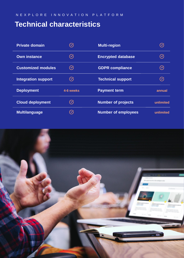## **Technical characteristics**

| <b>Private domain</b>      |                     | <b>Multi-region</b>        |                      |
|----------------------------|---------------------|----------------------------|----------------------|
| <b>Own instance</b>        | $\mathcal{S}_{1}$   | <b>Encrypted database</b>  | $\blacktriangledown$ |
| <b>Customized modules</b>  | $(\checkmark)$      | <b>GDPR compliance</b>     | $\blacktriangledown$ |
| <b>Integration support</b> | $\mathcal{C}_{1}$   | <b>Technical support</b>   | (✓                   |
| <b>Deployment</b>          | 4-6 weeks           | <b>Payment term</b>        | annual               |
| <b>Cloud deployment</b>    | $(\checkmark)$      | <b>Number of projects</b>  | unlimited            |
| <b>Multilanguage</b>       | $\boldsymbol{\vee}$ | <b>Number of employees</b> | unlimited            |